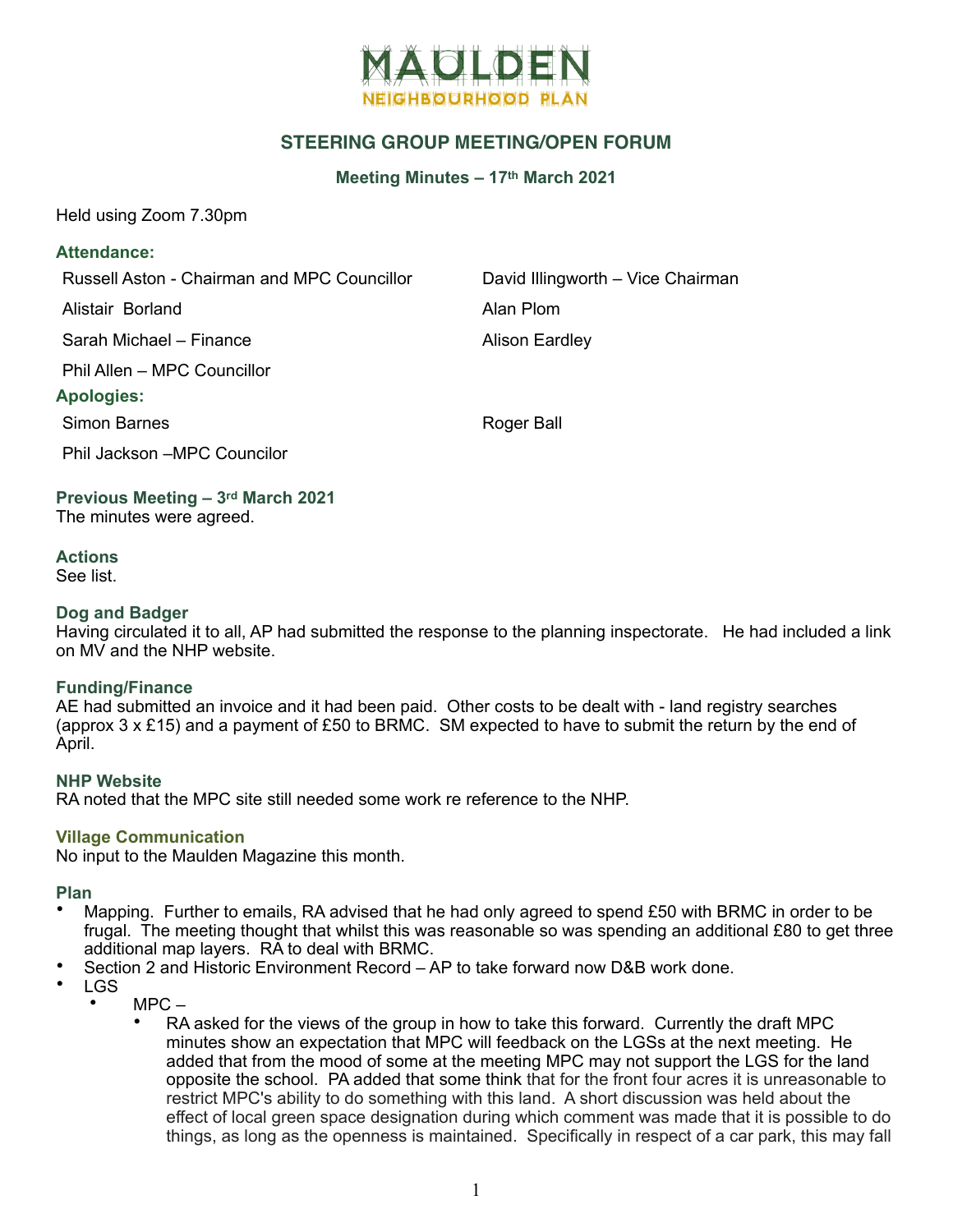

# **STEERING GROUP MEETING/OPEN FORUM**

**Meeting Minutes – 17th March 2021**

Held using Zoom 7.30pm

### **Attendance:**

Russell Aston - Chairman and MPC Councillor **David Illingworth – Vice Chairman** 

Alistair Borland **Alan Plom** 

Sarah Michael – Finance Alison Eardley

Phil Allen – MPC Councillor

### **Apologies:**

Simon Barnes **Roger Ball** 

Phil Jackson –MPC Councilor

**Previous Meeting – 3rd March 2021** The minutes were agreed.

#### **Actions** See list.

### **Dog and Badger**

Having circulated it to all, AP had submitted the response to the planning inspectorate. He had included a link on MV and the NHP website.

### **Funding/Finance**

AE had submitted an invoice and it had been paid. Other costs to be dealt with - land registry searches (approx  $3 \times$  £15) and a payment of £50 to BRMC. SM expected to have to submit the return by the end of April.

### **NHP Website**

RA noted that the MPC site still needed some work re reference to the NHP.

### **Village Communication**

No input to the Maulden Magazine this month.

**Plan**

- Mapping. Further to emails, RA advised that he had only agreed to spend £50 with BRMC in order to be frugal. The meeting thought that whilst this was reasonable so was spending an additional £80 to get three additional map layers. RA to deal with BRMC.
- Section 2 and Historic Environment Record AP to take forward now D&B work done.
- LGS
	- $MPC-$ 
		- RA asked for the views of the group in how to take this forward. Currently the draft MPC minutes show an expectation that MPC will feedback on the LGSs at the next meeting. He added that from the mood of some at the meeting MPC may not support the LGS for the land opposite the school. PA added that some think that for the front four acres it is unreasonable to restrict MPC's ability to do something with this land. A short discussion was held about the effect of local green space designation during which comment was made that it is possible to do things, as long as the openness is maintained. Specifically in respect of a car park, this may fall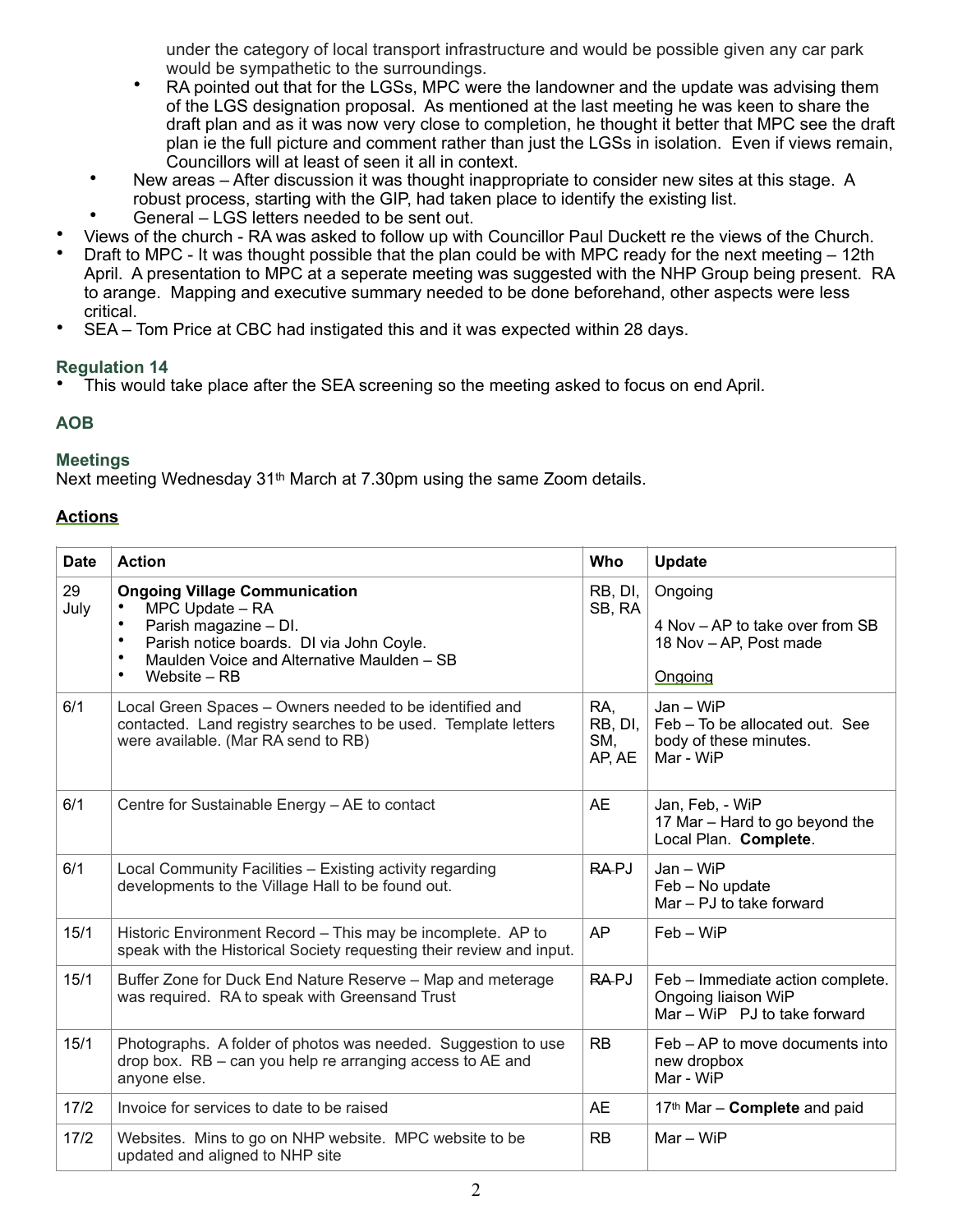under the category of local transport infrastructure and would be possible given any car park would be sympathetic to the surroundings.

- RA pointed out that for the LGSs, MPC were the landowner and the update was advising them of the LGS designation proposal. As mentioned at the last meeting he was keen to share the draft plan and as it was now very close to completion, he thought it better that MPC see the draft plan ie the full picture and comment rather than just the LGSs in isolation. Even if views remain, Councillors will at least of seen it all in context.
- New areas After discussion it was thought inappropriate to consider new sites at this stage. A robust process, starting with the GIP, had taken place to identify the existing list.
- General LGS letters needed to be sent out.
- Views of the church RA was asked to follow up with Councillor Paul Duckett re the views of the Church.
- Draft to MPC It was thought possible that the plan could be with MPC ready for the next meeting 12th April. A presentation to MPC at a seperate meeting was suggested with the NHP Group being present. RA to arange. Mapping and executive summary needed to be done beforehand, other aspects were less critical.
- SEA Tom Price at CBC had instigated this and it was expected within 28 days.

# **Regulation 14**

• This would take place after the SEA screening so the meeting asked to focus on end April.

# **AOB**

# **Meetings**

Next meeting Wednesday 31<sup>th</sup> March at 7.30pm using the same Zoom details.

# **Actions**

| <b>Date</b> | <b>Action</b>                                                                                                                                                                                                                     | Who                             | <b>Update</b>                                                                           |
|-------------|-----------------------------------------------------------------------------------------------------------------------------------------------------------------------------------------------------------------------------------|---------------------------------|-----------------------------------------------------------------------------------------|
| 29<br>July  | <b>Ongoing Village Communication</b><br>MPC Update - RA<br>Parish magazine - DI.<br>Parish notice boards. DI via John Coyle.<br>$\bullet$<br>Maulden Voice and Alternative Maulden - SB<br>$\bullet$<br>$\bullet$<br>Website – RB | RB, DI,<br>SB, RA               | Ongoing<br>4 Nov - AP to take over from SB<br>18 Nov - AP, Post made<br>Ongoing         |
| 6/1         | Local Green Spaces – Owners needed to be identified and<br>contacted. Land registry searches to be used. Template letters<br>were available. (Mar RA send to RB)                                                                  | RA.<br>RB, DI,<br>SM,<br>AP, AE | $Jan - WiFi$<br>Feb - To be allocated out. See<br>body of these minutes.<br>Mar - WiP   |
| 6/1         | Centre for Sustainable Energy - AE to contact                                                                                                                                                                                     | AE                              | Jan, Feb, - WiP<br>17 Mar - Hard to go beyond the<br>Local Plan. Complete.              |
| 6/1         | Local Community Facilities - Existing activity regarding<br>developments to the Village Hall to be found out.                                                                                                                     | <b>RAPJ</b>                     | $Jan - WiFi$<br>Feb - No update<br>Mar - PJ to take forward                             |
| 15/1        | Historic Environment Record - This may be incomplete. AP to<br>speak with the Historical Society requesting their review and input.                                                                                               | AP                              | $Feb - WiP$                                                                             |
| 15/1        | Buffer Zone for Duck End Nature Reserve - Map and meterage<br>was required. RA to speak with Greensand Trust                                                                                                                      | RA-PJ                           | Feb - Immediate action complete.<br>Ongoing liaison WiP<br>Mar - WiP PJ to take forward |
| 15/1        | Photographs. A folder of photos was needed. Suggestion to use<br>drop box. RB - can you help re arranging access to AE and<br>anyone else.                                                                                        | <b>RB</b>                       | Feb – AP to move documents into<br>new dropbox<br>Mar - WiP                             |
| $17/2$      | Invoice for services to date to be raised                                                                                                                                                                                         | AE                              | 17th Mar - Complete and paid                                                            |
| 17/2        | Websites. Mins to go on NHP website. MPC website to be<br>updated and aligned to NHP site                                                                                                                                         | RB                              | $Mar - WiP$                                                                             |